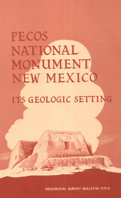# **PECOS** NATIONAL<br>MONUMENT<br>NEW MEXICO **ITS GEOLOGIC SETTING**

**GEOLOGICAL SURVEY BULLETIN 1271-E**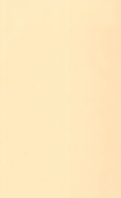$\mathcal{L}(\mathcal{L})$  and  $\mathcal{L}(\mathcal{L})$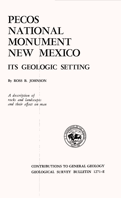# **PECOS** NATIONAL<br>MONUMENT NEW MEXICO **ITS GEOIJOGIC SETTING**

**By ROSS B. JOHNSON**

*A description of rocks and landscapes and their effect on man*



# **CONTRIBUTIONS TO GENERAL GEOLOGY GEOLOGICAL SURVEY BULLETIN** 1271-E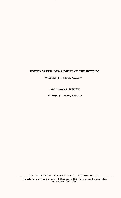### UNITED STATES DEPARTMENT OF THE INTERIOR

# WALTER J. HICXEL, *Secretary*

## GEOLOGICAL SURVEY

William T. Pecora, *Director*

U.S. GOVERNMENT PRINTING OFFICE, WASHINGTON : 1969

For sale by the Superintendent of Documents, U.S. Government Printing Office Washington, D.C. 20402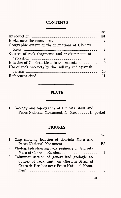# **CONTENTS**

|                                                    | Page |
|----------------------------------------------------|------|
|                                                    | E1   |
| Rocks near the monument ______________________     | 2    |
| Geographic extent of the formations of Glorieta    |      |
|                                                    |      |
| Sources of rock fragments and environments of      | 9    |
| Relation of Glorieta Mesa to the mountains _______ | 9    |
| Use of rock products by the Indians and Spanish    |      |
|                                                    | 10   |
|                                                    |      |

# **PLATE**

1. Geology and topography of Glorieta Mesa and Pecos National Monument, N. Mex \_\_\_\_In pocket

# **FIGURES**

| 1. Map showing location of Glorieta Mesa and    |    |
|-------------------------------------------------|----|
| Pecos National Monument _________________       | E3 |
| 2. Photograph showing rock sequence on Glorieta |    |
|                                                 |    |
| 3. Columnar section of generalized geologic se- |    |
| quence of rock units on Glorieta Mesa at        |    |
| Cerro de Escobas near Pecos National Monu-      |    |
| ment                                            |    |
|                                                 |    |

**Page**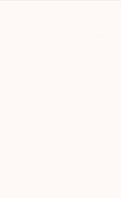$\label{eq:2.1} \mathcal{F}^{\text{max}}_{\text{max}}(\mathcal{F})$  $\mathcal{L}^{\text{max}}_{\text{max}}$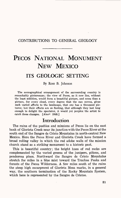# CONTRIBUTIONS TO GENERAL GEOLOGY

# PECOS NATIONAL MONUMENT NEW MEXICO

# ITS GEOLOGIC SETTING

By Ross B. Johnson

The scenographical arrangement of the surrounding country is remarkably picturesque; the view of Pecos, as it now lies, without the least addition, would form a beautiful picture, and more than a picture, for every cloud, every degree that the sun moves, gives such varied effects to the landscape, that one has a thousand pictures; but their effects are so fleeting, that although they last long enough to delight the spectator, it would yet perplex the artist to catch these changes. [Abert 1848.]

# Introduction

The ruins of the pueblos and missions of Pecos lie on the east bank of Glorieta Creek near its junction with the Pecos River at the south end of the Sangre de Cristo Mountains in north-central New Mexico. Here the Pecos River and Glorieta Creek have formed a broad rolling valley in which the red adobe walls of the mission church stand as a striking monument to a historic past.

This is beautiful country; the bright hues of red rocks are complemented by the varied greens of the junipers, pinons, and ponderosa pines. Northward the Sangre de Cristo Mountains stretch for miles in a blue mist toward the Truchas Peaks and forests of the Pecos Wilderness. A few miles south of the ruins the steep high escarpment of Glorieta Mesa marks, in a general way, the southern termination of the Rocky Mountain System, which here is represented by the Sangre de Cristos.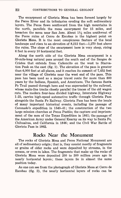The escarpment of Glorieta Mesa has been formed largely by the Pecos River and its tributaries eroding the soft sedimentary layers. The Pecos flows southward from the high mountains in the north, parallels the mesa escarpment for 15 miles, and breaches the mesa near San Jose. About  $1\frac{1}{2}$  miles southwest of the Pecos ruins at Cerro de Escobas is the highest point on Glorieta Mesa. It is the most conspicuous feature of the local landscape and rises to an elevation of  $8,212$  feet  $-1,270$  feet above the ruins. The slope of the escarpment here is very steep, rising 6 feet in every 10 horizontal feet.

Along the north side of the Glorieta Mesa escarpment is a 30-mile-long natural pass around the south end of the Sangre de Cristos that extends from Cafioncito on the west to Starvation Peak on the east (fig. 1). The elevation of the pass is greater than 6,000 feet at all places, and it reaches its summit of 7,432 feet near the village of Glorieta near the west end of the pass. This pass has been used as a major travel route for more than 800 years by the Indians, Spanish, and Americans. The famous Santa Fe Trail passed through here and was superseded by the railroad, whose main-line tracks closely parallel the traces of the old wagon ruts. The modern four-lane divided highway, Interstate Highway 1-25, carries high-speed automotive traffic through Glorieta Pass alongside the Santa Fe Railway. Glorieta Pass has been the locale of many important historical events, including the passage of Coronado's expedition in 1540-41; the construction of the two large mission churches at Pecos Pueblo; the capture and imprisonment of the men of the Texas Expedition in 1841; the passage of the American Army under General Kearny on its way to Santa Fe, Chihuahua, and California in 1846; and the Civil War Battle of Glorieta Pass in 1862.

# Rocks Near the Monument

The rocks of Glorieta Mesa and Pecos National Monument are all of sedimentary origin; that is, they consist mostly of fragments or grains of older rocks and were deposited by streams, in the oceans, or even in lakes. The fragments that make up the rocks of Glorieta Mesa were deposited 200 to 300 million years ago in nearly horizontal layers; these layers lie in almost the same position today.

As one can see from the photograph of Glorieta Mesa at Cerro de Escobas (fig. 2), the nearly horizontal layers of rocks can be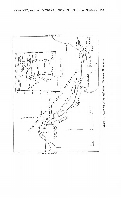

Figure 1.<sup>-</sup>Glorieta Mesa and Pecos National Monument.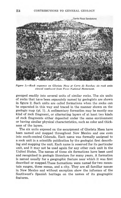

*Figure 2. Rock sequence on Glorieta Mesa at Cerro de Escobas; six rock units viewed southwest from Pecos National Monument.*

grouped readily into several units of similar rocks. The six units of rocks that have been separately named by geologists are shown in figure 2. Such units are called formations when the rocks can be separated in this way and traced in the manner shown on the geologic map (pi. 1). A sedimentary formation may be mostly one kind of rock fragment, or alternating layers of at least two kinds of rock fragments either deposited under the same environment or having similar physical characteristics, such as color and thickness of the layers.

The six units exposed on the escarpment of Glorieta Mesa have been named and mapped throughout New Mexico and one even into south-central Colorado. Each name was formally assigned to a rock unit in a scientific publication by the geologist first describing and mapping the unit. Each name is reserved for its particular unit, and it may not be used again for any other rock unit in the United States. The names of these six formations have been used and recognized in geologic literature for many years. A formation is named usually for a geographic feature near which it was first described or mapped. These formations were named for two mountain ranges, three mesas, and a city. They are all familiar names in New Mexico and without exception show the influence of the Southwest's Spanish heritage on the names of its geographic features.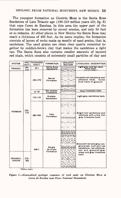The youngest formation on Glorieta Mesa is the Santa Rosa Sandstone of Late Triassic age (190-210 million years old; fig. 3) that caps Cerro de Escobas. In this area the upper part of the formation has been removed by recent erosion, and only 50 feet or so remains. At other places in New Mexico the Santa Rosa may reach a thickness of 450 feet. As its name implies, the formation consists of layers of rocks made up mostly of sand grains, that is, sandstone. The sand grains are clean clear quartz cemented together by reddish-brown clay that makes the sandstone a light tan. The Santa Rosa also contains smaller amounts of layered red shale, which consists of extremely small particles of clay and

| <b>SYSTEM</b>             | <b>AGE</b><br>$(my*)$                                                                           | <b>THICKNESS</b><br>(FEET) | <b>FORMATION</b>                                       | <b>GEOLOGIC</b><br><b>SECTION</b>                                                                                                                | LITHOLOGIC DESCRIPTION                                                        |
|---------------------------|-------------------------------------------------------------------------------------------------|----------------------------|--------------------------------------------------------|--------------------------------------------------------------------------------------------------------------------------------------------------|-------------------------------------------------------------------------------|
| <b>TRIASSIC</b>           | $190 -$<br>210                                                                                  | $50+$                      | Santa Rosa<br>Sandstone                                | an an Aonaichte an Aonaichte.<br>Bailtean<br><b>The County</b>                                                                                   | Light-gray and tan sand-<br>stone beds<br><b>UNCONFORMITY</b>                 |
|                           |                                                                                                 | 250-270                    | Bernal<br>Formation                                    | 77777777777777                                                                                                                                   | Purplish-red sandstone and<br>siltstone beds.<br>Some<br>local beds of gypsum |
|                           |                                                                                                 | $15 - 20$                  | San Andres<br>Limestone                                |                                                                                                                                                  | Gray limestone beds                                                           |
|                           | Glorieta<br>125-135<br>$235 -$<br>270<br>Yeso<br>380-400<br>Sangre<br>$500 +$<br>$270 -$<br>300 |                            | Sandstone                                              |                                                                                                                                                  | Light-gray sandstone beds                                                     |
| PERMIAN                   |                                                                                                 | Formation                  |                                                        | Bright-red sandstone and<br>siltstone with a few thin<br>gray limestone beds                                                                     |                                                                               |
| PENNSYL-<br><b>VANIAN</b> |                                                                                                 | de Cristo<br>Formation     | ۰۰<br>$\cdot$ o.<br>o<br>$\bullet$<br>$\mathfrak{o}$ . | Brownish-red and gray con-<br>glomerate, buff and red<br>sandstone, red siltstone,<br>red and greenish-gray<br>shale, and gray limestone<br>beds |                                                                               |
|                           | *Million vears                                                                                  |                            |                                                        |                                                                                                                                                  |                                                                               |

*Figure 3. Generalized geologic sequence of rock units on Glorieta Mesa at Cerro de Escobas near Pecos National Monument.*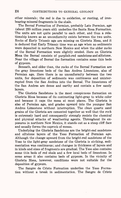other minerals; the red is due to oxidation, or rusting, of ironbearing mineral fragments in the shale.

The Bernal Formation of Permian, probably Late Permian, age (about 235 million years old) underlies the Santa Rosa Formation. The units are not quite parallel to each other, and thus a relationship known as an unconformity exists between the two units. Rocks of Early Triassic age are missing on Glorieta Mesa, and it is deduced that Early Triassic time was an age when no sediments were deposited in northern New Mexico and when the older rocks of the Bernal Formation were slightly eroded. Here on Glorieta Mesa the Bernal consists of purplish-red sandstone and siltstone. Near the village of Bernal the formation contains some thin beds of gypsum.

Beneath, and older than, the rocks of the Bernal Formation are the gray limestone beds of the San Andres Limestone, also of Permian age. Here there is no unconformity between the two units, for deposition of sediments was continuous and uninterrupted from the San Andres into the Bernal. The limestones of the San Andres are dense and earthy and contain a few sandy layers.

The Glorieta Sandstone is the most conspicuous formation on Glorieta Mesa because of its contrasting light-gray to white color and because it caps the mesa at most places. The Glorieta is also of Permian age, and grades upward into the younger San Andres Limestone without interruption. The clean quartz sand grains of the Glorieta are cemented together so well that the rock is extremely hard and consequently strongly resists the chemical and physical attacks of weathering agents. Throughout its exposures in northern New Mexico, it stands out as a steep cliff face and usually forms the caprock of mesas.

Underlying the Glorieta Sandstone are the bright-red sandstone and siltstone layers of the Yeso Formation of Permian age. Although the change upward from the bright-red sandstone of the Yeso to the light-gray sandstone of the Glorieta is striking, sedimentation was continuous; and changes in thickness of layers and in kinds and sizes of fragments are gradual. The Yeso also contains some thin beds of red shale and a few local beds of limestone. In some areas it also contains beds of gypsum. In the vicinity of Glorieta Mesa, however, conditions were not suitable for the deposition of gypsum.

The Sangre de Cristo Formation underlies the Yeso Formation without a break in sedimentation. The Sangre de Cristo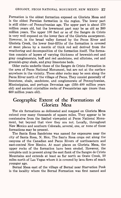Formation is the oldest formation exposed on Glorieta Mesa and is the oldest Permian formation in the region. The lower part is still older—of Pennsylvanian age. The upper part is about 270 million years old, but the lowermost part may be as old as 300 million years. The upper 100 feet or so of the Sangre de Cristo is very well exposed on the lower face of the Glorieta escarpment. However, in the broad valley formed by the Pecos River and Glorieta Creek, the lower four-fifths of the formation is covered at most places by a mantle of thick red soil derived from the weathering and decomposition of the formation itself. The formation consists of layers of varying thickness of brownish-red and gray conglomerate, buff and red sandstone, red siltstone, red and greenish-gray shale, and gray limestone beds.

Older rocks underlie those of the Sangre de Cristo Formation in the area of Pecos National Monument, but are not at the surface anywhere in the vicinity. These older rocks may be seen along the Pecos River north of the village of Pecos. They consist generally of limestone, shale, sandstone, and conglomerate of Pennsylvanian, Mississippian, and perhaps Devonian age (350-400 million years old) and ancient crystalline rocks of Precambrian age (more than 600 million years old).

# **Geographic Extent of the Formations of Glorieta Mesa**

The six formations as delineated and mapped on Glorieta Mesa extend over many thousands of square miles. They appear to be coextensive from the limited viewpoint at Pecos National Monument, but beyond that view they are not. Locally, throughout New Mexico and southern Colorado, several, one, or none of these formations may be present.

The Santa Rosa Sandstone was named for exposures near the city of Santa Rosa, N. Mex. The Santa Rosa crops out along the canyons of the Canadian and Pecos Rivers of northeastern and east-central New Mexico. At most places on Glorieta Mesa, the upper rocks of the formation have been eroded. However, the complete unit is present along the east flank of the Sangre de Cristo Mountains and extends at least as far north as Ocate Creek, 50 miles north of Las Vegas where it is covered by lava flows of much younger age.

Bernal Mesa east of the village of Bernal near Starvation Peak is the locality where the Bernal Formation was first named and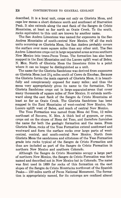described. It is a local unit, crops out only on Glorieta Mesa, and caps low mesas a short distance south and southeast of Starvation Peak. It also extends along the east flank of the Sangre de Cristo Mountains, at least as far north as Ocate Creek. To the south, rocks equivalent to this unit are known by another name.

The San Andres Limestone was named for exposures in the San Andres Mountains of south-central New Mexico. Of all the rock units occurring on Glorieta Mesa, the San Andres probably covers the surface over more square miles than any other unit. The San Andres Limestone crops out in large separated areas across southern New Mexico into trans-Pecos Texas. The formation has also been mapped in the Zuni Mountains and the Lucero uplift west of Belen, N. Mex. North of Glorieta Mesa the limestone thins to a point where it can no longer be distinguished as a unit.

The name for the Glorieta Sandstone was derived from exposures on Glorieta Mesa just  $2\frac{1}{2}$  miles south of Cerro de Escobas. Because the Glorieta forms the main caprock of Glorieta Mesa, it is beautifully and conspicuously exposed for many miles; and thus the mesa very appropriately gives its name to the formation. The Glorieta Sandstone crops out in large separated areas that cover many thousands of square miles of New Mexico. It extends northward along the east flank of the Sangre de Cristo Mountains at least as far as Ocate Creek. The Glorieta Sandstone has been mapped in the Zuni Mountains of west-central New Mexico, the Lucero uplift west of Belen, and much of central New Mexico.

The Yeso Formation was named from Mesa del Yeso, 12 miles northeast of Socorro, N. Mex. A thick bed of gypsum, or yeso, crops out on the slopes of Mesa del Yeso, and therefore furnishes the name for both the geologic formation and the mesa. From Glorieta Mesa, rocks of the Yeso Formation extend southward and westward and form the surface rocks over large parts of westcentral, central, and south-central New Mexico. North from Glorieta Mesa the sandstones and siltstones of the Yeso Formation grade into rocks typical of the Sangre de Cristo Formation and thus are included as part of the Sangre de Cristo Formation in northern New Mexico and southern Colorado.

Although the Sangre de Cristo Mountains occupy a large part of northern New Mexico, the Sangre de Cristo Formation was first named and described not in New Mexico but in Colorado. The name was first used in 1899 for rocks of this formation on the east slopes of the Sangre de Cristo Mountains northwest of the Spanish Peaks – 130 miles north of Pecos National Monument. The formation is appropriately named, for its outcrops are confined almost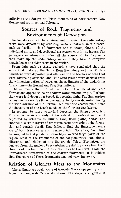entirely to the Sangre de Cristo Mountains of northeastern New Mexico and south-central Colorado.

# **Sources of Rock Fragments and Environments of Deposition**

Geologists can tell the environment in which the sedimentary rocks were deposited by studying various features in the rocks, such as fossils, kinds of fragments and minerals, shapes of the individual units, and depositional structures within the layers. The geologists sometimes can also tell the source of the fragments that make up the sedimentary rocks if they have a complete knowledge of the older rocks in the region.

From data such as these, geologists have concluded that the sands that make up the Santa Rosa Sandstone and the Glorieta Sandstone were deposited just offshore on the beaches of seas that were advancing over the land. The sand grains were derived from the winnowing action of waves on the sediments of the underlying formations—the Bernal and Yeso Formations.

The sediments that formed the rocks of the Bernal and Yeso Formations appear to be of shallow-water marine origin. Perhaps they were laid down on a broad, flat coastal plain. The San Andres Limestone is a marine limestone and probably was deposited during the wide advance of the Permian sea over the coastal plain after the deposition of the beach sands of the Glorieta Sandstone.

In contrast to these water-laid deposits, the Sangre de Cristo Formation consists mainly of terrestrial or land-laid sediments deposited by streams as alluvial fans, flood plains, deltas, and channel fills. Thin layers of limestone occur throughout the formation and contain fossils that indicate that the limestone layers are of both fresh-water and marine origin. Therefore, from time to time, lakes and ponds or ocean bays covered large parts of the region. Most of the fragments of the conglomerates, sandstones, siltstones, and shales of the Sangre de Cristo Formation are derived from the ancient Precambrian crystalline rocks that form the core of the high mountains a few miles to the north. From the unweathered appearance of the coarser fragments, it is evident that the source of these fragments was not very far away.

# **Relation of Glorieta Mesa to the Mountains**

The sedimentary rock layers of Glorieta Mesa slope gently south from the Sangre de Cristo Mountains. The slope is so gentle at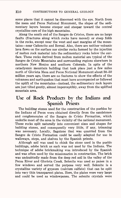some places that it cannot be discerned with the eye. North from the mesa and Pecos National Monument, the slopes of the sedimentary layers become steeper and steeper toward the central crystalline core of the high mountains.

Along the south end of the Sangre de Cristos, there are no large faults (fractures along which rocks have moved) or steep folds in the rocks, except near the west and east margins of the mountains-near Cañoncito and Bernal. Also, there are neither volcanic lava flows on the surface nor similar rocks formed by the injection of molten rock material into the sedimentary rocks below the surface. These rocks derived from molten material are typical of the Sangre de Cristo Mountains and surrounding regions elsewhere in northern New Mexico and southern Colorado. In spite of the cataclysmic mountain building that took place just a few miles north of Glorieta Mesa and Pecos National Monument about 30-50 million years ago, there are no features to show the effects of the volcanoes and earthquakes that must have accompanied or followed the uplift of the mountains—instead, the sedimentary rock layers are just tilted gently, almost imperceptibly, away from the uplifted mountain area.

# Use of Rock Products by the Indians and Spanish Priests

The building stones used for the construction of the pueblos by the Indians of Pecos were obtained directly from the sandstones and conglomerates of the Sangre de Cristo Formation, which underlie most of the area in the vicinity of the national monument. These rocks split naturally into convenient sizes and shapes for building stones, and consequently very little, if any, trimming was necessary. Locally, flagstone that was quarried from the Sangre de Cristo Formation could be easily adapted for use in walkways, steps, and shelves by the Spanish priests.

Although soil was used to chink the stone used in the pueblo buildings, adobe brick as such was not used by the Indians. The technique of adobe brickmaking was introduced by the Spanish and was often used by the missionaries in construction. The brick was undoubtedly made from the deep red soil in the valley of the Pecos River and Glorieta Creek. Selenite was used as panes in a few windows and served the purpose very well. Selenite is a crystalline variety of gypsum (calcium sulfate) that can be split into very thin transparent plates. Here, the plates were very large and could be used as windowpanes. The selenite crystals were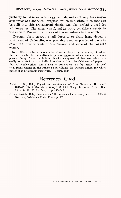probably found in some large gypsum deposits not very far away southwest of Cañoncito. Isinglass, which is a white mica that can be split into thin transparent sheets, was also probably used for windowpanes. The mica was found in large booklike crystals in the ancient Precambrian rocks of the mountains to the north.

Gypsum, from nearby small deposits or from large deposits southwest of Cañoncito, was probably used as plaster of paris to cover the interior walls of the mission and some of the convent rooms.

New Mexico affords many interesting geological productions, of which the most useful to the natives is *yeso* or gypsum, which abounds in many places. Being found in foliated blocks, composed of laminae, which are easily separated with a knife into sheets from the thickness of paper to that of window-glass, and almost as transparent as the latter, it is used to a great extent in the ranches and villages for window-lights, for which indeed it is a tolerable substitute. [Gregg, 1844.]

# References Cited

- Abert, J. W., 1848, Report on examination of New Mexico in the years 1846-47: Rept. Secretary War, U.S. 30th Cong., 1st sess., S. Ex. Doc. 23, p. 3-130; H. Ex. Doc. 41, p. 417-546.
- Gregg, Josiah, 1844, Commerce of the prairies [Moorhead, Max, ed., 1954]: Norman, Oklahoma Univ. Press, p. 469.